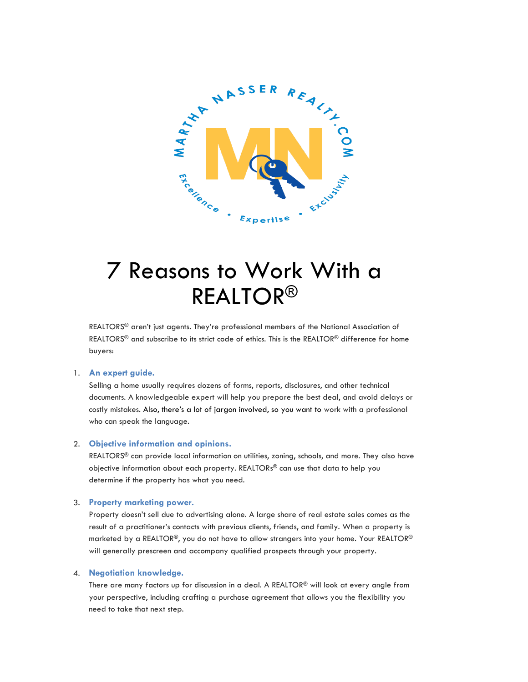

# 7 Reasons to Work With a REALTOR®

REALTORS<sup>®</sup> aren't just agents. They're professional members of the National Association of REALTORS<sup>®</sup> and subscribe to its strict code of ethics. This is the REALTOR<sup>®</sup> difference for home buyers:

# 1. **An expert guide.**

Selling a home usually requires dozens of forms, reports, disclosures, and other technical documents. A knowledgeable expert will help you prepare the best deal, and avoid delays or costly mistakes. Also, there's a lot of jargon involved, so you want to work with a professional who can speak the language.

## 2. **Objective information and opinions.**

REALTORS® can provide local information on utilities, zoning, schools, and more. They also have objective information about each property. REALTORs ® can use that data to help you determine if the property has what you need.

## 3. **Property marketing power.**

Property doesn't sell due to advertising alone. A large share of real estate sales comes as the result of a practitioner's contacts with previous clients, friends, and family. When a property is marketed by a REALTOR®, you do not have to allow strangers into your home. Your REALTOR® will generally prescreen and accompany qualified prospects through your property.

## 4. **Negotiation knowledge.**

There are many factors up for discussion in a deal. A REALTOR® will look at every angle from your perspective, including crafting a purchase agreement that allows you the flexibility you need to take that next step.